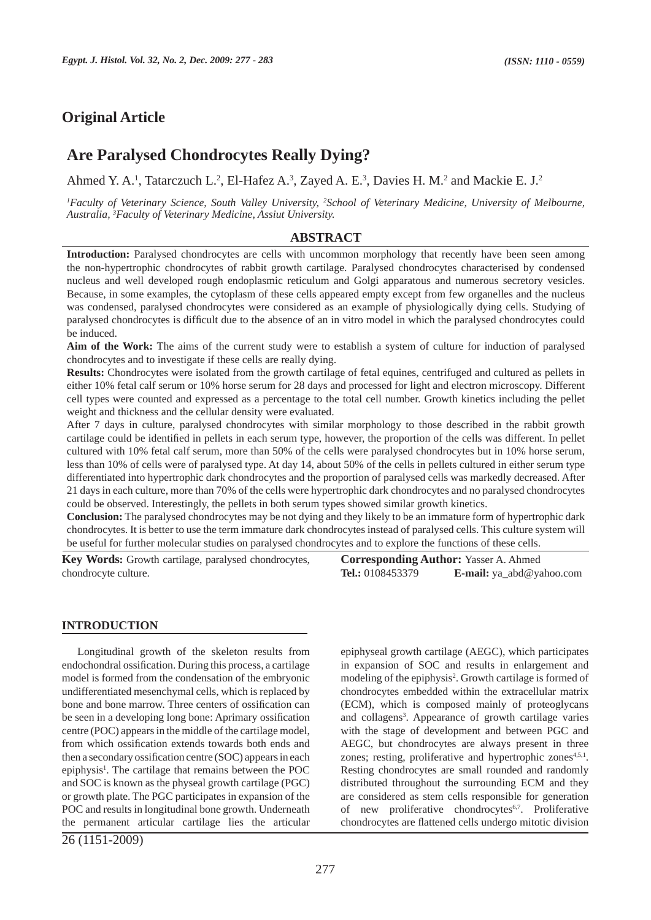# **Original Article**

# **Are Paralysed Chondrocytes Really Dying?**

Ahmed Y. A.<sup>1</sup>, Tatarczuch L.<sup>2</sup>, El-Hafez A.<sup>3</sup>, Zayed A. E.<sup>3</sup>, Davies H. M.<sup>2</sup> and Mackie E. J.<sup>2</sup>

*1 Faculty of Veterinary Science, South Valley University, 2 School of Veterinary Medicine, University of Melbourne, Australia, 3 Faculty of Veterinary Medicine, Assiut University.*

#### **ABSTRACT**

**Introduction:** Paralysed chondrocytes are cells with uncommon morphology that recently have been seen among the non-hypertrophic chondrocytes of rabbit growth cartilage. Paralysed chondrocytes characterised by condensed nucleus and well developed rough endoplasmic reticulum and Golgi apparatous and numerous secretory vesicles. Because, in some examples, the cytoplasm of these cells appeared empty except from few organelles and the nucleus was condensed, paralysed chondrocytes were considered as an example of physiologically dying cells. Studying of paralysed chondrocytes is difficult due to the absence of an in vitro model in which the paralysed chondrocytes could be induced.

**Aim of the Work:** The aims of the current study were to establish a system of culture for induction of paralysed chondrocytes and to investigate if these cells are really dying.

**Results:** Chondrocytes were isolated from the growth cartilage of fetal equines, centrifuged and cultured as pellets in either 10% fetal calf serum or 10% horse serum for 28 days and processed for light and electron microscopy. Different cell types were counted and expressed as a percentage to the total cell number. Growth kinetics including the pellet weight and thickness and the cellular density were evaluated.

After 7 days in culture, paralysed chondrocytes with similar morphology to those described in the rabbit growth cartilage could be identified in pellets in each serum type, however, the proportion of the cells was different. In pellet cultured with 10% fetal calf serum, more than 50% of the cells were paralysed chondrocytes but in 10% horse serum, less than 10% of cells were of paralysed type. At day 14, about 50% of the cells in pellets cultured in either serum type differentiated into hypertrophic dark chondrocytes and the proportion of paralysed cells was markedly decreased. After 21 days in each culture, more than 70% of the cells were hypertrophic dark chondrocytes and no paralysed chondrocytes could be observed. Interestingly, the pellets in both serum types showed similar growth kinetics.

**Conclusion:** The paralysed chondrocytes may be not dying and they likely to be an immature form of hypertrophic dark chondrocytes. It is better to use the term immature dark chondrocytes instead of paralysed cells. This culture system will be useful for further molecular studies on paralysed chondrocytes and to explore the functions of these cells.

**Key Words:** Growth cartilage, paralysed chondrocytes, chondrocyte culture.

#### **INTRODUCTION**

Longitudinal growth of the skeleton results from endochondral ossification. During this process, a cartilage model is formed from the condensation of the embryonic undifferentiated mesenchymal cells, which is replaced by bone and bone marrow. Three centers of ossification can be seen in a developing long bone: Aprimary ossification centre (POC) appears in the middle of the cartilage model, from which ossification extends towards both ends and then a secondary ossification centre (SOC) appears in each epiphysis<sup>1</sup>. The cartilage that remains between the POC and SOC is known as the physeal growth cartilage (PGC) or growth plate. The PGC participates in expansion of the POC and results in longitudinal bone growth. Underneath the permanent articular cartilage lies the articular

26 (1151-2009)

**Corresponding Author:** Yasser A. Ahmed **Tel.:** 0108453379 **E-mail:** ya\_abd@yahoo.com

epiphyseal growth cartilage (AEGC), which participates in expansion of SOC and results in enlargement and modeling of the epiphysis<sup>2</sup>. Growth cartilage is formed of chondrocytes embedded within the extracellular matrix (ECM), which is composed mainly of proteoglycans and collagens<sup>3</sup>. Appearance of growth cartilage varies with the stage of development and between PGC and AEGC, but chondrocytes are always present in three zones; resting, proliferative and hypertrophic zones<sup>4,5,1</sup>. Resting chondrocytes are small rounded and randomly distributed throughout the surrounding ECM and they are considered as stem cells responsible for generation of new proliferative chondrocytes6,7. Proliferative chondrocytes are flattened cells undergo mitotic division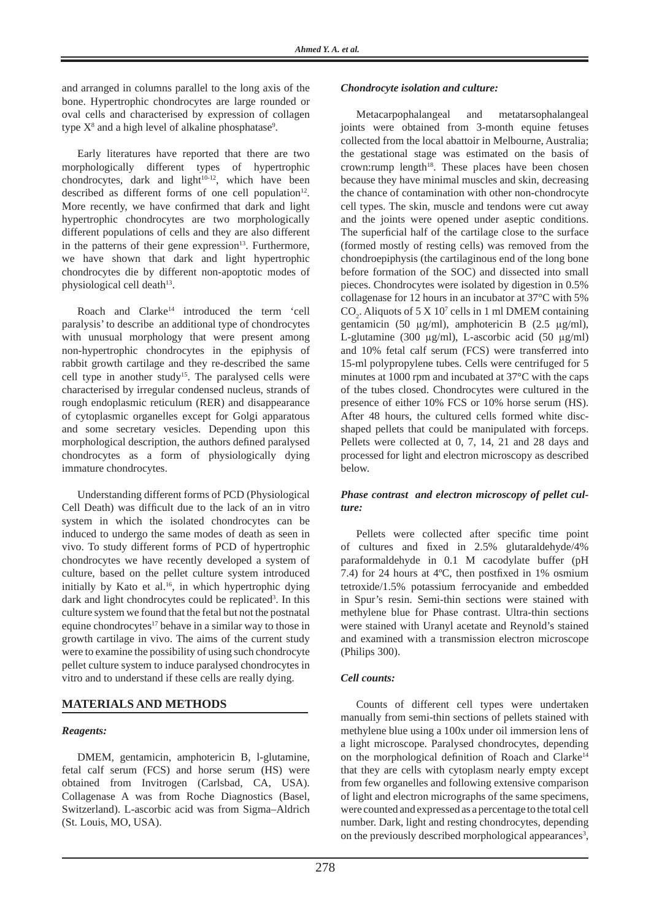and arranged in columns parallel to the long axis of the bone. Hypertrophic chondrocytes are large rounded or oval cells and characterised by expression of collagen type  $X^8$  and a high level of alkaline phosphatase<sup>9</sup>.

Early literatures have reported that there are two morphologically different types of hypertrophic chondrocytes, dark and light $10^{-12}$ , which have been described as different forms of one cell population<sup>12</sup>. More recently, we have confirmed that dark and light hypertrophic chondrocytes are two morphologically different populations of cells and they are also different in the patterns of their gene expression $13$ . Furthermore, we have shown that dark and light hypertrophic chondrocytes die by different non-apoptotic modes of physiological cell death $13$ .

Roach and Clarke<sup>14</sup> introduced the term 'cell paralysis' to describe an additional type of chondrocytes with unusual morphology that were present among non-hypertrophic chondrocytes in the epiphysis of rabbit growth cartilage and they re-described the same cell type in another study<sup>15</sup>. The paralysed cells were characterised by irregular condensed nucleus, strands of rough endoplasmic reticulum (RER) and disappearance of cytoplasmic organelles except for Golgi apparatous and some secretary vesicles. Depending upon this morphological description, the authors defined paralysed chondrocytes as a form of physiologically dying immature chondrocytes.

Understanding different forms of PCD (Physiological Cell Death) was difficult due to the lack of an in vitro system in which the isolated chondrocytes can be induced to undergo the same modes of death as seen in vivo. To study different forms of PCD of hypertrophic chondrocytes we have recently developed a system of culture, based on the pellet culture system introduced initially by Kato et al.<sup>16</sup>, in which hypertrophic dying dark and light chondrocytes could be replicated<sup>3</sup>. In this culture system we found that the fetal but not the postnatal equine chondrocytes $17$  behave in a similar way to those in growth cartilage in vivo. The aims of the current study were to examine the possibility of using such chondrocyte pellet culture system to induce paralysed chondrocytes in vitro and to understand if these cells are really dying.

# **MATERIALS AND METHODS**

### *Reagents:*

DMEM, gentamicin, amphotericin B, l-glutamine, fetal calf serum (FCS) and horse serum (HS) were obtained from Invitrogen (Carlsbad, CA, USA). Collagenase A was from Roche Diagnostics (Basel, Switzerland). L-ascorbic acid was from Sigma–Aldrich (St. Louis, MO, USA).

#### *Chondrocyte isolation and culture:*

Metacarpophalangeal and metatarsophalangeal joints were obtained from 3-month equine fetuses collected from the local abattoir in Melbourne, Australia; the gestational stage was estimated on the basis of crown:rump length $18$ . These places have been chosen because they have minimal muscles and skin, decreasing the chance of contamination with other non-chondrocyte cell types. The skin, muscle and tendons were cut away and the joints were opened under aseptic conditions. The superficial half of the cartilage close to the surface (formed mostly of resting cells) was removed from the chondroepiphysis (the cartilaginous end of the long bone before formation of the SOC) and dissected into small pieces. Chondrocytes were isolated by digestion in 0.5% collagenase for 12 hours in an incubator at 37°C with 5%  $CO<sub>2</sub>$ . Aliquots of 5 X 10<sup>7</sup> cells in 1 ml DMEM containing gentamicin (50 μg/ml), amphotericin B (2.5 μg/ml), L-glutamine (300 μg/ml), L-ascorbic acid (50 μg/ml) and 10% fetal calf serum (FCS) were transferred into 15-ml polypropylene tubes. Cells were centrifuged for 5 minutes at 1000 rpm and incubated at 37°C with the caps of the tubes closed. Chondrocytes were cultured in the presence of either 10% FCS or 10% horse serum (HS). After 48 hours, the cultured cells formed white discshaped pellets that could be manipulated with forceps. Pellets were collected at 0, 7, 14, 21 and 28 days and processed for light and electron microscopy as described below.

#### *Phase contrast and electron microscopy of pellet culture:*

Pellets were collected after specific time point of cultures and fixed in 2.5% glutaraldehyde/4% paraformaldehyde in 0.1 M cacodylate buffer (pH 7.4) for 24 hours at 4ºC, then postfixed in 1% osmium tetroxide/1.5% potassium ferrocyanide and embedded in Spur's resin. Semi-thin sections were stained with methylene blue for Phase contrast. Ultra-thin sections were stained with Uranyl acetate and Reynold's stained and examined with a transmission electron microscope (Philips 300).

### *Cell counts:*

Counts of different cell types were undertaken manually from semi-thin sections of pellets stained with methylene blue using a 100x under oil immersion lens of a light microscope. Paralysed chondrocytes, depending on the morphological definition of Roach and Clarke<sup>14</sup> that they are cells with cytoplasm nearly empty except from few organelles and following extensive comparison of light and electron micrographs of the same specimens, were counted and expressed as a percentage to the total cell number. Dark, light and resting chondrocytes, depending on the previously described morphological appearances<sup>3</sup>,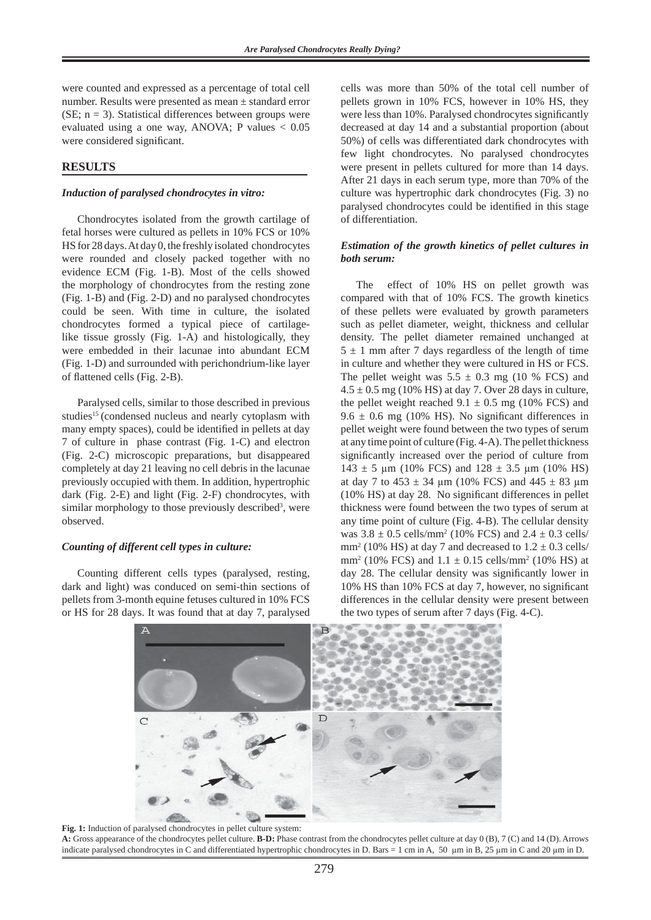were counted and expressed as a percentage of total cell number. Results were presented as mean ± standard error (SE;  $n = 3$ ). Statistical differences between groups were evaluated using a one way, ANOVA; P values < 0.05 were considered significant.

### **RESULTS**

#### *Induction of paralysed chondrocytes in vitro:*

Chondrocytes isolated from the growth cartilage of fetal horses were cultured as pellets in 10% FCS or 10% HS for 28 days. At day 0, the freshly isolated chondrocytes were rounded and closely packed together with no evidence ECM (Fig. 1-B). Most of the cells showed the morphology of chondrocytes from the resting zone (Fig. 1-B) and (Fig. 2-D) and no paralysed chondrocytes could be seen. With time in culture, the isolated chondrocytes formed a typical piece of cartilagelike tissue grossly (Fig. 1-A) and histologically, they were embedded in their lacunae into abundant ECM (Fig. 1-D) and surrounded with perichondrium-like layer of flattened cells (Fig. 2-B).

Paralysed cells, similar to those described in previous studies<sup>15</sup> (condensed nucleus and nearly cytoplasm with many empty spaces), could be identified in pellets at day 7 of culture in phase contrast (Fig. 1-C) and electron (Fig. 2-C) microscopic preparations, but disappeared completely at day 21 leaving no cell debris in the lacunae previously occupied with them. In addition, hypertrophic dark (Fig. 2-E) and light (Fig. 2-F) chondrocytes, with similar morphology to those previously described<sup>3</sup>, were observed.

#### *Counting of different cell types in culture:*

Counting different cells types (paralysed, resting, dark and light) was conduced on semi-thin sections of pellets from 3-month equine fetuses cultured in 10% FCS or HS for 28 days. It was found that at day 7, paralysed

cells was more than 50% of the total cell number of pellets grown in 10% FCS, however in 10% HS, they were less than 10%. Paralysed chondrocytes significantly decreased at day 14 and a substantial proportion (about 50%) of cells was differentiated dark chondrocytes with few light chondrocytes. No paralysed chondrocytes were present in pellets cultured for more than 14 days. After 21 days in each serum type, more than 70% of the culture was hypertrophic dark chondrocytes (Fig. 3) no paralysed chondrocytes could be identified in this stage of differentiation.

#### *Estimation of the growth kinetics of pellet cultures in both serum:*

The effect of 10% HS on pellet growth was compared with that of 10% FCS. The growth kinetics of these pellets were evaluated by growth parameters such as pellet diameter, weight, thickness and cellular density. The pellet diameter remained unchanged at  $5 \pm 1$  mm after 7 days regardless of the length of time in culture and whether they were cultured in HS or FCS. The pellet weight was  $5.5 \pm 0.3$  mg (10 % FCS) and  $4.5 \pm 0.5$  mg (10% HS) at day 7. Over 28 days in culture, the pellet weight reached  $9.1 \pm 0.5$  mg (10% FCS) and  $9.6 \pm 0.6$  mg (10% HS). No significant differences in pellet weight were found between the two types of serum at any time point of culture (Fig. 4-A). The pellet thickness significantly increased over the period of culture from  $143 \pm 5$  μm (10% FCS) and  $128 \pm 3.5$  μm (10% HS) at day 7 to  $453 \pm 34$  µm (10% FCS) and  $445 \pm 83$  µm (10% HS) at day 28. No significant differences in pellet thickness were found between the two types of serum at any time point of culture (Fig. 4-B). The cellular density was  $3.8 \pm 0.5$  cells/mm<sup>2</sup> (10% FCS) and  $2.4 \pm 0.3$  cells/ mm<sup>2</sup> (10% HS) at day 7 and decreased to  $1.2 \pm 0.3$  cells/ mm<sup>2</sup> (10% FCS) and  $1.1 \pm 0.15$  cells/mm<sup>2</sup> (10% HS) at day 28. The cellular density was significantly lower in 10% HS than 10% FCS at day 7, however, no significant differences in the cellular density were present between the two types of serum after 7 days (Fig. 4-C).



**Fig. 1:** Induction of paralysed chondrocytes in pellet culture system: **A:** Gross appearance of the chondrocytes pellet culture. **B-D:** Phase contrast from the chondrocytes pellet culture at day 0 (B), 7 (C) and 14 (D). Arrows indicate paralysed chondrocytes in C and differentiated hypertrophic chondrocytes in D. Bars = 1 cm in A, 50 μm in B, 25 μm in C and 20 μm in D.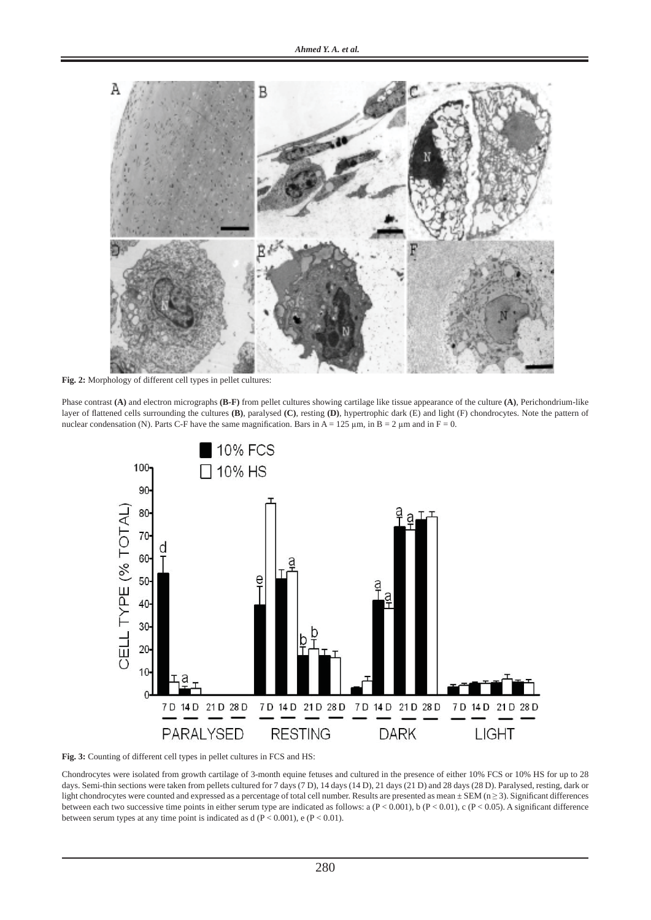

**Fig. 2:** Morphology of different cell types in pellet cultures:

Phase contrast **(A)** and electron micrographs **(B-F)** from pellet cultures showing cartilage like tissue appearance of the culture **(A)**, Perichondrium-like layer of flattened cells surrounding the cultures **(B)**, paralysed **(C)**, resting **(D)**, hypertrophic dark (E) and light (F) chondrocytes. Note the pattern of nuclear condensation (N). Parts C-F have the same magnification. Bars in A = 125  $\mu$ m, in B = 2  $\mu$ m and in F = 0.





Chondrocytes were isolated from growth cartilage of 3-month equine fetuses and cultured in the presence of either 10% FCS or 10% HS for up to 28 days. Semi-thin sections were taken from pellets cultured for 7 days (7 D), 14 days (14 D), 21 days (21 D) and 28 days (28 D). Paralysed, resting, dark or light chondrocytes were counted and expressed as a percentage of total cell number. Results are presented as mean  $\pm$  SEM (n  $\geq$  3). Significant differences between each two successive time points in either serum type are indicated as follows: a (P < 0.001), b (P < 0.01), c (P < 0.05). A significant difference between serum types at any time point is indicated as  $d (P < 0.001)$ , e  $(P < 0.01)$ .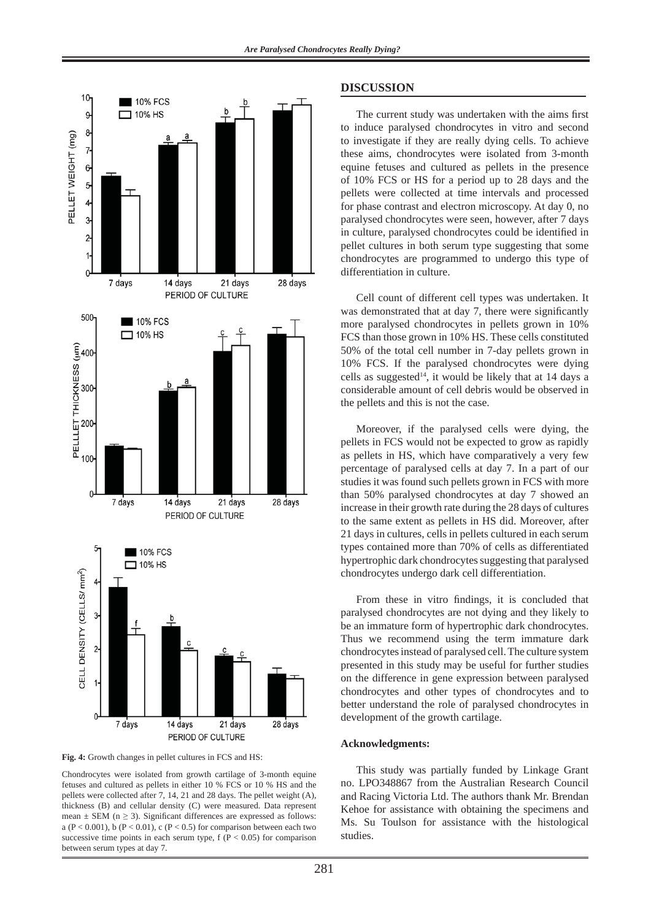

**Fig. 4:** Growth changes in pellet cultures in FCS and HS:

Chondrocytes were isolated from growth cartilage of 3-month equine fetuses and cultured as pellets in either 10 % FCS or 10 % HS and the pellets were collected after 7, 14, 21 and 28 days. The pellet weight (A), thickness (B) and cellular density (C) were measured. Data represent mean  $\pm$  SEM (n  $\geq$  3). Significant differences are expressed as follows: a ( $P < 0.001$ ), b ( $P < 0.01$ ), c ( $P < 0.5$ ) for comparison between each two successive time points in each serum type,  $f(P < 0.05)$  for comparison between serum types at day 7.

#### **DISCUSSION**

The current study was undertaken with the aims first to induce paralysed chondrocytes in vitro and second to investigate if they are really dying cells. To achieve these aims, chondrocytes were isolated from 3-month equine fetuses and cultured as pellets in the presence of 10% FCS or HS for a period up to 28 days and the pellets were collected at time intervals and processed for phase contrast and electron microscopy. At day 0, no paralysed chondrocytes were seen, however, after 7 days in culture, paralysed chondrocytes could be identified in pellet cultures in both serum type suggesting that some chondrocytes are programmed to undergo this type of differentiation in culture.

Cell count of different cell types was undertaken. It was demonstrated that at day 7, there were significantly more paralysed chondrocytes in pellets grown in 10% FCS than those grown in 10% HS. These cells constituted 50% of the total cell number in 7-day pellets grown in 10% FCS. If the paralysed chondrocytes were dying cells as suggested<sup>14</sup>, it would be likely that at 14 days a considerable amount of cell debris would be observed in the pellets and this is not the case.

Moreover, if the paralysed cells were dying, the pellets in FCS would not be expected to grow as rapidly as pellets in HS, which have comparatively a very few percentage of paralysed cells at day 7. In a part of our studies it was found such pellets grown in FCS with more than 50% paralysed chondrocytes at day 7 showed an increase in their growth rate during the 28 days of cultures to the same extent as pellets in HS did. Moreover, after 21 days in cultures, cells in pellets cultured in each serum types contained more than 70% of cells as differentiated hypertrophic dark chondrocytes suggesting that paralysed chondrocytes undergo dark cell differentiation.

From these in vitro findings, it is concluded that paralysed chondrocytes are not dying and they likely to be an immature form of hypertrophic dark chondrocytes. Thus we recommend using the term immature dark chondrocytes instead of paralysed cell. The culture system presented in this study may be useful for further studies on the difference in gene expression between paralysed chondrocytes and other types of chondrocytes and to better understand the role of paralysed chondrocytes in development of the growth cartilage.

#### **Acknowledgments:**

This study was partially funded by Linkage Grant no. LPO348867 from the Australian Research Council and Racing Victoria Ltd. The authors thank Mr. Brendan Kehoe for assistance with obtaining the specimens and Ms. Su Toulson for assistance with the histological studies.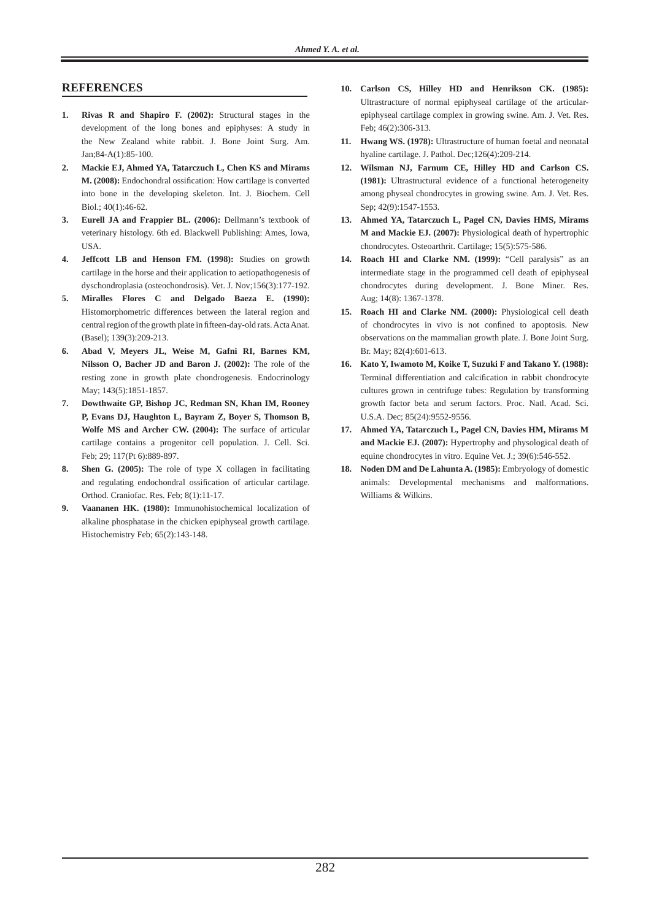### **REFERENCES**

- **1. Rivas R and Shapiro F. (2002):** Structural stages in the development of the long bones and epiphyses: A study in the New Zealand white rabbit. J. Bone Joint Surg. Am.  $Jan:84-A(1):85-100$
- **2. Mackie EJ, Ahmed YA, Tatarczuch L, Chen KS and Mirams M. (2008):** Endochondral ossification: How cartilage is converted into bone in the developing skeleton. Int. J. Biochem. Cell Biol.; 40(1):46-62.
- **3. Eurell JA and Frappier BL. (2006):** Dellmann's textbook of veterinary histology. 6th ed. Blackwell Publishing: Ames, Iowa, USA.
- **4. Jeffcott LB and Henson FM. (1998):** Studies on growth cartilage in the horse and their application to aetiopathogenesis of dyschondroplasia (osteochondrosis). Vet. J. Nov;156(3):177-192.
- **5. Miralles Flores C and Delgado Baeza E. (1990):**  Histomorphometric differences between the lateral region and central region of the growth plate in fifteen-day-old rats. Acta Anat. (Basel); 139(3):209-213.
- **6. Abad V, Meyers JL, Weise M, Gafni RI, Barnes KM, Nilsson O, Bacher JD and Baron J. (2002):** The role of the resting zone in growth plate chondrogenesis. Endocrinology May; 143(5):1851-1857.
- **7. Dowthwaite GP, Bishop JC, Redman SN, Khan IM, Rooney P, Evans DJ, Haughton L, Bayram Z, Boyer S, Thomson B, Wolfe MS and Archer CW. (2004):** The surface of articular cartilage contains a progenitor cell population. J. Cell. Sci. Feb; 29; 117(Pt 6):889-897.
- **8. Shen G. (2005):** The role of type X collagen in facilitating and regulating endochondral ossification of articular cartilage. Orthod. Craniofac. Res. Feb; 8(1):11-17.
- **9. Vaananen HK. (1980):** Immunohistochemical localization of alkaline phosphatase in the chicken epiphyseal growth cartilage. Histochemistry Feb; 65(2):143-148.
- **10. Carlson CS, Hilley HD and Henrikson CK. (1985):** Ultrastructure of normal epiphyseal cartilage of the articularepiphyseal cartilage complex in growing swine. Am. J. Vet. Res. Feb; 46(2):306-313.
- **11. Hwang WS. (1978):** Ultrastructure of human foetal and neonatal hyaline cartilage. J. Pathol. Dec;126(4):209-214.
- **12. Wilsman NJ, Farnum CE, Hilley HD and Carlson CS. (1981):** Ultrastructural evidence of a functional heterogeneity among physeal chondrocytes in growing swine. Am. J. Vet. Res. Sep; 42(9):1547-1553.
- **13. Ahmed YA, Tatarczuch L, Pagel CN, Davies HMS, Mirams M and Mackie EJ. (2007):** Physiological death of hypertrophic chondrocytes. Osteoarthrit. Cartilage; 15(5):575-586.
- **14. Roach HI and Clarke NM. (1999):** "Cell paralysis" as an intermediate stage in the programmed cell death of epiphyseal chondrocytes during development. J. Bone Miner. Res. Aug; 14(8): 1367-1378.
- **15. Roach HI and Clarke NM. (2000):** Physiological cell death of chondrocytes in vivo is not confined to apoptosis. New observations on the mammalian growth plate. J. Bone Joint Surg. Br. May; 82(4):601-613.
- **16. Kato Y, Iwamoto M, Koike T, Suzuki F and Takano Y. (1988):**  Terminal differentiation and calcification in rabbit chondrocyte cultures grown in centrifuge tubes: Regulation by transforming growth factor beta and serum factors. Proc. Natl. Acad. Sci. U.S.A. Dec; 85(24):9552-9556.
- **17. Ahmed YA, Tatarczuch L, Pagel CN, Davies HM, Mirams M and Mackie EJ. (2007):** Hypertrophy and physological death of equine chondrocytes in vitro. Equine Vet. J.; 39(6):546-552.
- **18. Noden DM and De Lahunta A. (1985):** Embryology of domestic animals: Developmental mechanisms and malformations. Williams & Wilkins.